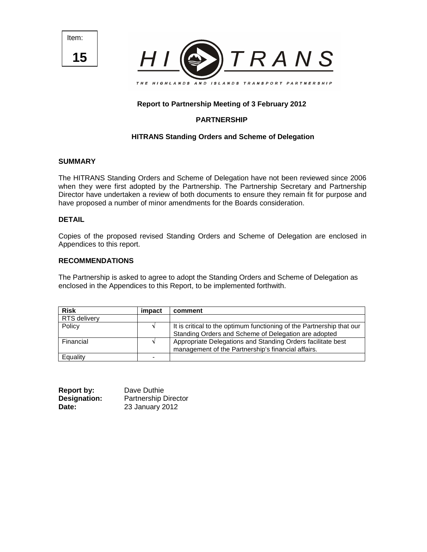Item: **15**



# **Report to Partnership Meeting of 3 February 2012**

# **PARTNERSHIP**

# **HITRANS Standing Orders and Scheme of Delegation**

# **SUMMARY**

The HITRANS Standing Orders and Scheme of Delegation have not been reviewed since 2006 when they were first adopted by the Partnership. The Partnership Secretary and Partnership Director have undertaken a review of both documents to ensure they remain fit for purpose and have proposed a number of minor amendments for the Boards consideration.

# **DETAIL**

Copies of the proposed revised Standing Orders and Scheme of Delegation are enclosed in Appendices to this report.

# **RECOMMENDATIONS**

The Partnership is asked to agree to adopt the Standing Orders and Scheme of Delegation as enclosed in the Appendices to this Report, to be implemented forthwith.

| <b>Risk</b>  | impact | comment                                                               |
|--------------|--------|-----------------------------------------------------------------------|
| RTS delivery |        |                                                                       |
| Policy       |        | It is critical to the optimum functioning of the Partnership that our |
|              |        | Standing Orders and Scheme of Delegation are adopted                  |
| Financial    |        | Appropriate Delegations and Standing Orders facilitate best           |
|              |        | management of the Partnership's financial affairs.                    |
| Equality     |        |                                                                       |

| <b>Report by:</b> | Dave Duthie                 |
|-------------------|-----------------------------|
| Designation:      | <b>Partnership Director</b> |
| Date:             | 23 January 2012             |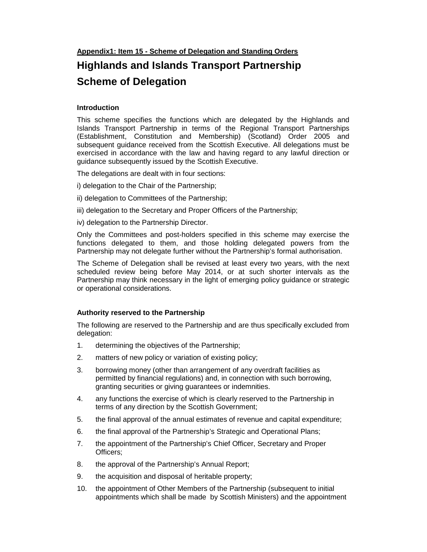**Appendix1: Item 15 - Scheme of Delegation and Standing Orders**

# **Highlands and Islands Transport Partnership Scheme of Delegation**

# **Introduction**

This scheme specifies the functions which are delegated by the Highlands and Islands Transport Partnership in terms of the Regional Transport Partnerships (Establishment, Constitution and Membership) (Scotland) Order 2005 and subsequent guidance received from the Scottish Executive. All delegations must be exercised in accordance with the law and having regard to any lawful direction or guidance subsequently issued by the Scottish Executive.

The delegations are dealt with in four sections:

- i) delegation to the Chair of the Partnership;
- ii) delegation to Committees of the Partnership;
- iii) delegation to the Secretary and Proper Officers of the Partnership;
- iv) delegation to the Partnership Director.

Only the Committees and post-holders specified in this scheme may exercise the functions delegated to them, and those holding delegated powers from the Partnership may not delegate further without the Partnership's formal authorisation.

The Scheme of Delegation shall be revised at least every two years, with the next scheduled review being before May 2014, or at such shorter intervals as the Partnership may think necessary in the light of emerging policy guidance or strategic or operational considerations.

# **Authority reserved to the Partnership**

The following are reserved to the Partnership and are thus specifically excluded from delegation:

- 1. determining the objectives of the Partnership;
- 2. matters of new policy or variation of existing policy;
- 3. borrowing money (other than arrangement of any overdraft facilities as permitted by financial regulations) and, in connection with such borrowing, granting securities or giving guarantees or indemnities.
- 4. any functions the exercise of which is clearly reserved to the Partnership in terms of any direction by the Scottish Government;
- 5. the final approval of the annual estimates of revenue and capital expenditure;
- 6. the final approval of the Partnership's Strategic and Operational Plans;
- 7. the appointment of the Partnership's Chief Officer, Secretary and Proper Officers;
- 8. the approval of the Partnership's Annual Report;
- 9. the acquisition and disposal of heritable property;
- 10. the appointment of Other Members of the Partnership (subsequent to initial appointments which shall be made by Scottish Ministers) and the appointment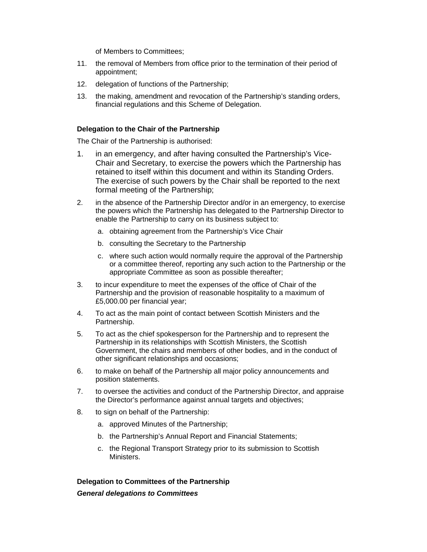of Members to Committees;

- 11. the removal of Members from office prior to the termination of their period of appointment;
- 12. delegation of functions of the Partnership;
- 13. the making, amendment and revocation of the Partnership's standing orders, financial regulations and this Scheme of Delegation.

# **Delegation to the Chair of the Partnership**

The Chair of the Partnership is authorised:

- 1. in an emergency, and after having consulted the Partnership's Vice-Chair and Secretary, to exercise the powers which the Partnership has retained to itself within this document and within its Standing Orders. The exercise of such powers by the Chair shall be reported to the next formal meeting of the Partnership;
- 2. in the absence of the Partnership Director and/or in an emergency, to exercise the powers which the Partnership has delegated to the Partnership Director to enable the Partnership to carry on its business subject to:
	- a. obtaining agreement from the Partnership's Vice Chair
	- b. consulting the Secretary to the Partnership
	- c. where such action would normally require the approval of the Partnership or a committee thereof, reporting any such action to the Partnership or the appropriate Committee as soon as possible thereafter;
- 3. to incur expenditure to meet the expenses of the office of Chair of the Partnership and the provision of reasonable hospitality to a maximum of £5,000.00 per financial year;
- 4. To act as the main point of contact between Scottish Ministers and the Partnership.
- 5. To act as the chief spokesperson for the Partnership and to represent the Partnership in its relationships with Scottish Ministers, the Scottish Government, the chairs and members of other bodies, and in the conduct of other significant relationships and occasions;
- 6. to make on behalf of the Partnership all major policy announcements and position statements.
- 7. to oversee the activities and conduct of the Partnership Director, and appraise the Director's performance against annual targets and objectives;
- 8. to sign on behalf of the Partnership:
	- a. approved Minutes of the Partnership;
	- b. the Partnership's Annual Report and Financial Statements;
	- c. the Regional Transport Strategy prior to its submission to Scottish Ministers.

# **Delegation to Committees of the Partnership**

**General delegations to Committees**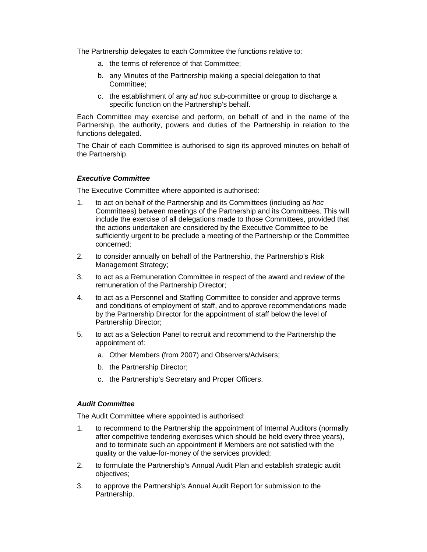The Partnership delegates to each Committee the functions relative to:

- a. the terms of reference of that Committee;
- b. any Minutes of the Partnership making a special delegation to that Committee;
- c. the establishment of any ad hoc sub-committee or group to discharge a specific function on the Partnership's behalf.

Each Committee may exercise and perform, on behalf of and in the name of the Partnership, the authority, powers and duties of the Partnership in relation to the functions delegated.

The Chair of each Committee is authorised to sign its approved minutes on behalf of the Partnership.

# **Executive Committee**

The Executive Committee where appointed is authorised:

- 1. to act on behalf of the Partnership and its Committees (including ad hoc Committees) between meetings of the Partnership and its Committees. This will include the exercise of all delegations made to those Committees, provided that the actions undertaken are considered by the Executive Committee to be sufficiently urgent to be preclude a meeting of the Partnership or the Committee concerned;
- 2. to consider annually on behalf of the Partnership, the Partnership's Risk Management Strategy;
- 3. to act as a Remuneration Committee in respect of the award and review of the remuneration of the Partnership Director;
- 4. to act as a Personnel and Staffing Committee to consider and approve terms and conditions of employment of staff, and to approve recommendations made by the Partnership Director for the appointment of staff below the level of Partnership Director;
- 5. to act as a Selection Panel to recruit and recommend to the Partnership the appointment of:
	- a. Other Members (from 2007) and Observers/Advisers;
	- b. the Partnership Director;
	- c. the Partnership's Secretary and Proper Officers.

# **Audit Committee**

The Audit Committee where appointed is authorised:

- 1. to recommend to the Partnership the appointment of Internal Auditors (normally after competitive tendering exercises which should be held every three years), and to terminate such an appointment if Members are not satisfied with the quality or the value-for-money of the services provided;
- 2. to formulate the Partnership's Annual Audit Plan and establish strategic audit objectives;
- 3. to approve the Partnership's Annual Audit Report for submission to the Partnership.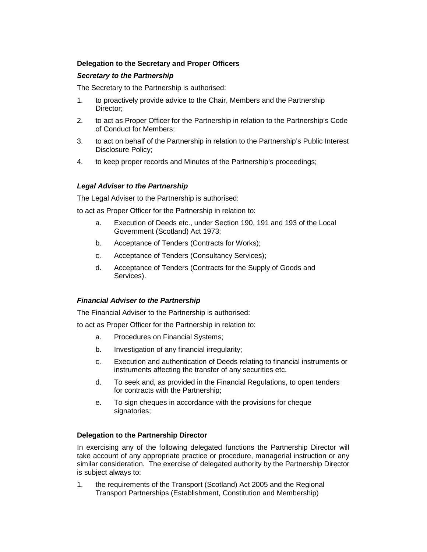# **Delegation to the Secretary and Proper Officers**

# **Secretary to the Partnership**

The Secretary to the Partnership is authorised:

- 1. to proactively provide advice to the Chair, Members and the Partnership Director;
- 2. to act as Proper Officer for the Partnership in relation to the Partnership's Code of Conduct for Members;
- 3. to act on behalf of the Partnership in relation to the Partnership's Public Interest Disclosure Policy;
- 4. to keep proper records and Minutes of the Partnership's proceedings;

# **Legal Adviser to the Partnership**

The Legal Adviser to the Partnership is authorised:

to act as Proper Officer for the Partnership in relation to:

- a. Execution of Deeds etc., under Section 190, 191 and 193 of the Local Government (Scotland) Act 1973;
- b. Acceptance of Tenders (Contracts for Works);
- c. Acceptance of Tenders (Consultancy Services);
- d. Acceptance of Tenders (Contracts for the Supply of Goods and Services).

# **Financial Adviser to the Partnership**

The Financial Adviser to the Partnership is authorised:

to act as Proper Officer for the Partnership in relation to:

- a. Procedures on Financial Systems;
- b. Investigation of any financial irregularity;
- c. Execution and authentication of Deeds relating to financial instruments or instruments affecting the transfer of any securities etc.
- d. To seek and, as provided in the Financial Regulations, to open tenders for contracts with the Partnership;
- e. To sign cheques in accordance with the provisions for cheque signatories;

# **Delegation to the Partnership Director**

In exercising any of the following delegated functions the Partnership Director will take account of any appropriate practice or procedure, managerial instruction or any similar consideration. The exercise of delegated authority by the Partnership Director is subject always to:

1. the requirements of the Transport (Scotland) Act 2005 and the Regional Transport Partnerships (Establishment, Constitution and Membership)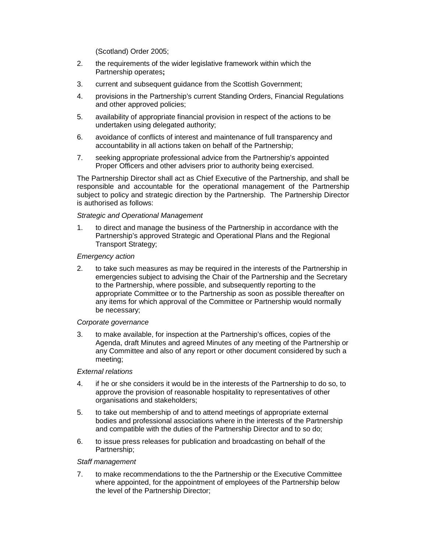(Scotland) Order 2005;

- 2. the requirements of the wider legislative framework within which the Partnership operates**;**
- 3. current and subsequent guidance from the Scottish Government;
- 4. provisions in the Partnership's current Standing Orders, Financial Regulations and other approved policies;
- 5. availability of appropriate financial provision in respect of the actions to be undertaken using delegated authority;
- 6. avoidance of conflicts of interest and maintenance of full transparency and accountability in all actions taken on behalf of the Partnership;
- 7. seeking appropriate professional advice from the Partnership's appointed Proper Officers and other advisers prior to authority being exercised.

The Partnership Director shall act as Chief Executive of the Partnership, and shall be responsible and accountable for the operational management of the Partnership subject to policy and strategic direction by the Partnership. The Partnership Director is authorised as follows:

# Strategic and Operational Management

1. to direct and manage the business of the Partnership in accordance with the Partnership's approved Strategic and Operational Plans and the Regional Transport Strategy;

#### Emergency action

2. to take such measures as may be required in the interests of the Partnership in emergencies subject to advising the Chair of the Partnership and the Secretary to the Partnership, where possible, and subsequently reporting to the appropriate Committee or to the Partnership as soon as possible thereafter on any items for which approval of the Committee or Partnership would normally be necessary;

#### Corporate governance

3. to make available, for inspection at the Partnership's offices, copies of the Agenda, draft Minutes and agreed Minutes of any meeting of the Partnership or any Committee and also of any report or other document considered by such a meeting;

# External relations

- 4. if he or she considers it would be in the interests of the Partnership to do so, to approve the provision of reasonable hospitality to representatives of other organisations and stakeholders;
- 5. to take out membership of and to attend meetings of appropriate external bodies and professional associations where in the interests of the Partnership and compatible with the duties of the Partnership Director and to so do;
- 6. to issue press releases for publication and broadcasting on behalf of the Partnership;

# Staff management

7. to make recommendations to the the Partnership or the Executive Committee where appointed, for the appointment of employees of the Partnership below the level of the Partnership Director;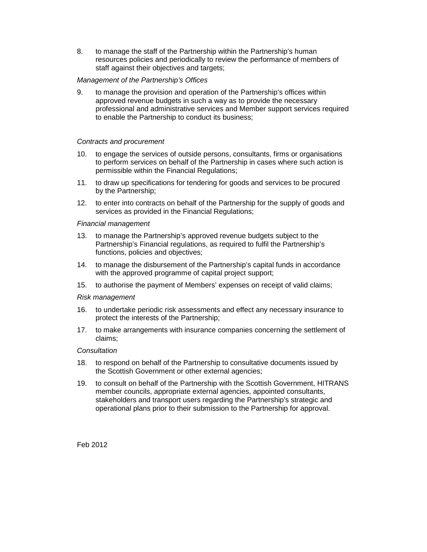8. to manage the staff of the Partnership within the Partnership's human resources policies and periodically to review the performance of members of staff against their objectives and targets;

# Management of the Partnership's Offices

9. to manage the provision and operation of the Partnership's offices within approved revenue budgets in such a way as to provide the necessary professional and administrative services and Member support services required to enable the Partnership to conduct its business;

# Contracts and procurement

- 10. to engage the services of outside persons, consultants, firms or organisations to perform services on behalf of the Partnership in cases where such action is permissible within the Financial Regulations;
- 11. to draw up specifications for tendering for goods and services to be procured by the Partnership;
- 12. to enter into contracts on behalf of the Partnership for the supply of goods and services as provided in the Financial Regulations;

# Financial management

- 13. to manage the Partnership's approved revenue budgets subject to the Partnership's Financial regulations, as required to fulfil the Partnership's functions, policies and objectives;
- 14. to manage the disbursement of the Partnership's capital funds in accordance with the approved programme of capital project support;
- 15. to authorise the payment of Members' expenses on receipt of valid claims;

# Risk management

- 16. to undertake periodic risk assessments and effect any necessary insurance to protect the interests of the Partnership;
- 17. to make arrangements with insurance companies concerning the settlement of claims;

# **Consultation**

- 18. to respond on behalf of the Partnership to consultative documents issued by the Scottish Government or other external agencies;
- 19. to consult on behalf of the Partnership with the Scottish Government, HITRANS member councils, appropriate external agencies, appointed consultants, stakeholders and transport users regarding the Partnership's strategic and operational plans prior to their submission to the Partnership for approval.

Feb 2012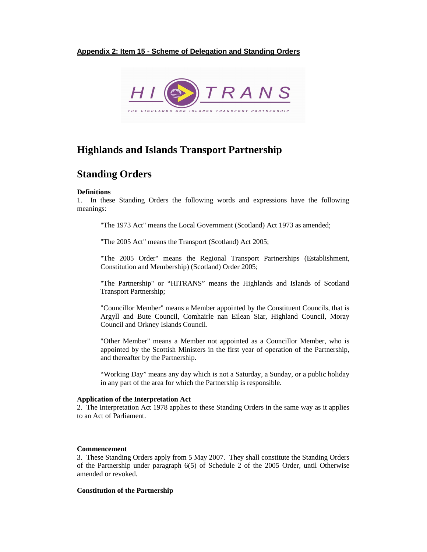# **Appendix 2: Item 15 - Scheme of Delegation and Standing Orders**



# **Highlands and Islands Transport Partnership**

# **Standing Orders**

#### **Definitions**

1. In these Standing Orders the following words and expressions have the following meanings:

"The 1973 Act" means the Local Government (Scotland) Act 1973 as amended;

"The 2005 Act" means the Transport (Scotland) Act 2005;

 "The 2005 Order" means the Regional Transport Partnerships (Establishment, Constitution and Membership) (Scotland) Order 2005;

 "The Partnership" or "HITRANS" means the Highlands and Islands of Scotland Transport Partnership;

 "Councillor Member" means a Member appointed by the Constituent Councils, that is Argyll and Bute Council, Comhairle nan Eilean Siar, Highland Council, Moray Council and Orkney Islands Council.

 "Other Member" means a Member not appointed as a Councillor Member, who is appointed by the Scottish Ministers in the first year of operation of the Partnership, and thereafter by the Partnership.

 "Working Day" means any day which is not a Saturday, a Sunday, or a public holiday in any part of the area for which the Partnership is responsible.

#### **Application of the Interpretation Act**

2. The Interpretation Act 1978 applies to these Standing Orders in the same way as it applies to an Act of Parliament.

## **Commencement**

3. These Standing Orders apply from 5 May 2007. They shall constitute the Standing Orders of the Partnership under paragraph 6(5) of Schedule 2 of the 2005 Order, until Otherwise amended or revoked.

### **Constitution of the Partnership**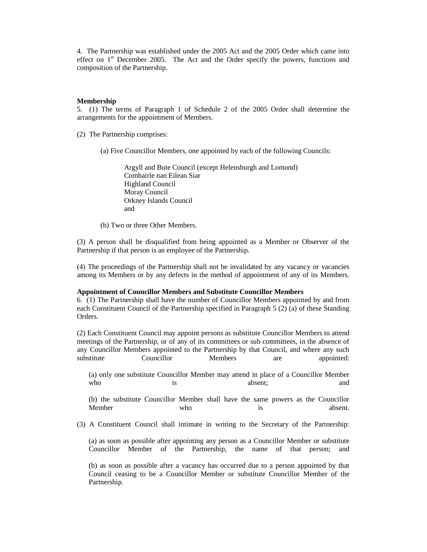4. The Partnership was established under the 2005 Act and the 2005 Order which came into effect on  $1<sup>st</sup>$  December 2005. The Act and the Order specify the powers, functions and composition of the Partnership.

#### **Membership**

5. (1) The terms of Paragraph 1 of Schedule 2 of the 2005 Order shall determine the arrangements for the appointment of Members.

(2) The Partnership comprises:

(a) Five Councillor Members, one appointed by each of the following Councils:

Argyll and Bute Council (except Helensburgh and Lomond) Comhairle nan Eilean Siar Highland Council Moray Council Orkney Islands Council and

(b) Two or three Other Members.

(3) A person shall be disqualified from being appointed as a Member or Observer of the Partnership if that person is an employee of the Partnership.

(4) The proceedings of the Partnership shall not be invalidated by any vacancy or vacancies among its Members or by any defects in the method of appointment of any of its Members.

#### **Appointment of Councillor Members and Substitute Councillor Members**

6. (1) The Partnership shall have the number of Councillor Members appointed by and from each Constituent Council of the Partnership specified in Paragraph 5 (2) (a) of these Standing Orders.

(2) Each Constituent Council may appoint persons as substitute Councillor Members to attend meetings of the Partnership, or of any of its committees or sub committees, in the absence of any Councillor Members appointed to the Partnership by that Council, and where any such substitute Councillor Members are appointed:

(a) only one substitute Councillor Member may attend in place of a Councillor Member who is absent; and and is a set of  $\alpha$  and  $\alpha$  and  $\alpha$  and  $\alpha$  and  $\alpha$  and  $\alpha$  and  $\alpha$  and  $\alpha$  and  $\alpha$  and  $\alpha$  and  $\alpha$  and  $\alpha$  and  $\alpha$  and  $\alpha$  and  $\alpha$  and  $\alpha$  and  $\alpha$  and  $\alpha$  and  $\alpha$  and  $\alpha$  and  $\alpha$  an

(b) the substitute Councillor Member shall have the same powers as the Councillor Member who is absent.

(3) A Constituent Council shall intimate in writing to the Secretary of the Partnership:

(a) as soon as possible after appointing any person as a Councillor Member or substitute Councillor Member of the Partnership, the name of that person; and

(b) as soon as possible after a vacancy has occurred due to a person appointed by that Council ceasing to be a Councillor Member or substitute Councillor Member of the Partnership.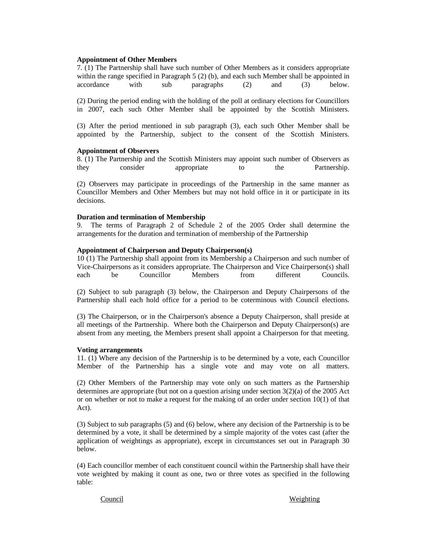#### **Appointment of Other Members**

7. (1) The Partnership shall have such number of Other Members as it considers appropriate within the range specified in Paragraph 5 (2) (b), and each such Member shall be appointed in accordance with sub paragraphs (2) and (3) below.

(2) During the period ending with the holding of the poll at ordinary elections for Councillors in 2007, each such Other Member shall be appointed by the Scottish Ministers.

(3) After the period mentioned in sub paragraph (3), each such Other Member shall be appointed by the Partnership, subject to the consent of the Scottish Ministers.

#### **Appointment of Observers**

8. (1) The Partnership and the Scottish Ministers may appoint such number of Observers as they consider appropriate to the Partnership.

(2) Observers may participate in proceedings of the Partnership in the same manner as Councillor Members and Other Members but may not hold office in it or participate in its decisions.

#### **Duration and termination of Membership**

9. The terms of Paragraph 2 of Schedule 2 of the 2005 Order shall determine the arrangements for the duration and termination of membership of the Partnership

#### **Appointment of Chairperson and Deputy Chairperson(s)**

10 (1) The Partnership shall appoint from its Membership a Chairperson and such number of Vice-Chairpersons as it considers appropriate. The Chairperson and Vice Chairperson(s) shall each be Councillor Members from different Councils.

(2) Subject to sub paragraph (3) below, the Chairperson and Deputy Chairpersons of the Partnership shall each hold office for a period to be coterminous with Council elections.

(3) The Chairperson, or in the Chairperson's absence a Deputy Chairperson, shall preside at all meetings of the Partnership. Where both the Chairperson and Deputy Chairperson(s) are absent from any meeting, the Members present shall appoint a Chairperson for that meeting.

#### **Voting arrangements**

11. (1) Where any decision of the Partnership is to be determined by a vote, each Councillor Member of the Partnership has a single vote and may vote on all matters.

(2) Other Members of the Partnership may vote only on such matters as the Partnership determines are appropriate (but not on a question arising under section 3(2)(a) of the 2005 Act or on whether or not to make a request for the making of an order under section 10(1) of that Act).

(3) Subject to sub paragraphs (5) and (6) below, where any decision of the Partnership is to be determined by a vote, it shall be determined by a simple majority of the votes cast (after the application of weightings as appropriate), except in circumstances set out in Paragraph 30 below.

(4) Each councillor member of each constituent council within the Partnership shall have their vote weighted by making it count as one, two or three votes as specified in the following table:

#### Council Weighting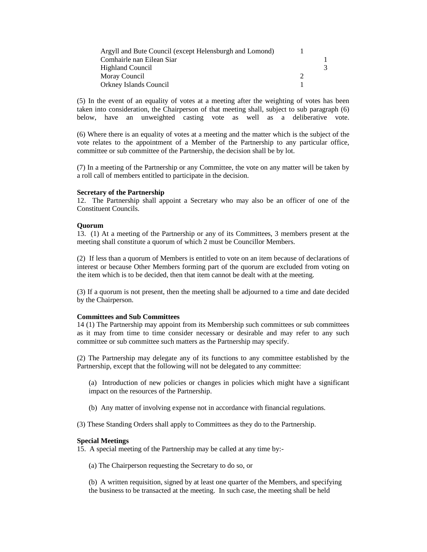| Argyll and Bute Council (except Helensburgh and Lomond) |  |
|---------------------------------------------------------|--|
| Comhairle nan Eilean Siar                               |  |
| <b>Highland Council</b>                                 |  |
| Moray Council                                           |  |
| Orkney Islands Council                                  |  |

(5) In the event of an equality of votes at a meeting after the weighting of votes has been taken into consideration, the Chairperson of that meeting shall, subject to sub paragraph (6) below, have an unweighted casting vote as well as a deliberative vote.

(6) Where there is an equality of votes at a meeting and the matter which is the subject of the vote relates to the appointment of a Member of the Partnership to any particular office, committee or sub committee of the Partnership, the decision shall be by lot.

(7) In a meeting of the Partnership or any Committee, the vote on any matter will be taken by a roll call of members entitled to participate in the decision.

#### **Secretary of the Partnership**

12. The Partnership shall appoint a Secretary who may also be an officer of one of the Constituent Councils.

#### **Quorum**

13. (1) At a meeting of the Partnership or any of its Committees, 3 members present at the meeting shall constitute a quorum of which 2 must be Councillor Members.

(2) If less than a quorum of Members is entitled to vote on an item because of declarations of interest or because Other Members forming part of the quorum are excluded from voting on the item which is to be decided, then that item cannot be dealt with at the meeting.

(3) If a quorum is not present, then the meeting shall be adjourned to a time and date decided by the Chairperson.

#### **Committees and Sub Committees**

14 (1) The Partnership may appoint from its Membership such committees or sub committees as it may from time to time consider necessary or desirable and may refer to any such committee or sub committee such matters as the Partnership may specify.

(2) The Partnership may delegate any of its functions to any committee established by the Partnership, except that the following will not be delegated to any committee:

(a) Introduction of new policies or changes in policies which might have a significant impact on the resources of the Partnership.

(b) Any matter of involving expense not in accordance with financial regulations.

(3) These Standing Orders shall apply to Committees as they do to the Partnership.

#### **Special Meetings**

15. A special meeting of the Partnership may be called at any time by:-

(a) The Chairperson requesting the Secretary to do so, or

(b) A written requisition, signed by at least one quarter of the Members, and specifying the business to be transacted at the meeting. In such case, the meeting shall be held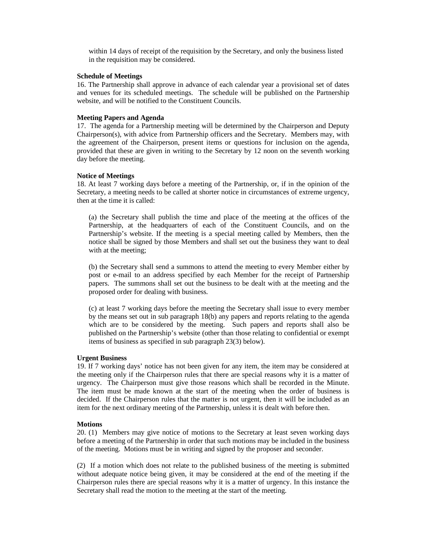within 14 days of receipt of the requisition by the Secretary, and only the business listed in the requisition may be considered.

#### **Schedule of Meetings**

16. The Partnership shall approve in advance of each calendar year a provisional set of dates and venues for its scheduled meetings. The schedule will be published on the Partnership website, and will be notified to the Constituent Councils.

#### **Meeting Papers and Agenda**

17. The agenda for a Partnership meeting will be determined by the Chairperson and Deputy Chairperson(s), with advice from Partnership officers and the Secretary. Members may, with the agreement of the Chairperson, present items or questions for inclusion on the agenda, provided that these are given in writing to the Secretary by 12 noon on the seventh working day before the meeting.

#### **Notice of Meetings**

18. At least 7 working days before a meeting of the Partnership, or, if in the opinion of the Secretary, a meeting needs to be called at shorter notice in circumstances of extreme urgency, then at the time it is called:

(a) the Secretary shall publish the time and place of the meeting at the offices of the Partnership, at the headquarters of each of the Constituent Councils, and on the Partnership's website. If the meeting is a special meeting called by Members, then the notice shall be signed by those Members and shall set out the business they want to deal with at the meeting;

(b) the Secretary shall send a summons to attend the meeting to every Member either by post or e-mail to an address specified by each Member for the receipt of Partnership papers. The summons shall set out the business to be dealt with at the meeting and the proposed order for dealing with business.

(c) at least 7 working days before the meeting the Secretary shall issue to every member by the means set out in sub paragraph 18(b) any papers and reports relating to the agenda which are to be considered by the meeting. Such papers and reports shall also be published on the Partnership's website (other than those relating to confidential or exempt items of business as specified in sub paragraph 23(3) below).

#### **Urgent Business**

19. If 7 working days' notice has not been given for any item, the item may be considered at the meeting only if the Chairperson rules that there are special reasons why it is a matter of urgency. The Chairperson must give those reasons which shall be recorded in the Minute. The item must be made known at the start of the meeting when the order of business is decided. If the Chairperson rules that the matter is not urgent, then it will be included as an item for the next ordinary meeting of the Partnership, unless it is dealt with before then.

#### **Motions**

20. (1) Members may give notice of motions to the Secretary at least seven working days before a meeting of the Partnership in order that such motions may be included in the business of the meeting. Motions must be in writing and signed by the proposer and seconder.

(2) If a motion which does not relate to the published business of the meeting is submitted without adequate notice being given, it may be considered at the end of the meeting if the Chairperson rules there are special reasons why it is a matter of urgency. In this instance the Secretary shall read the motion to the meeting at the start of the meeting.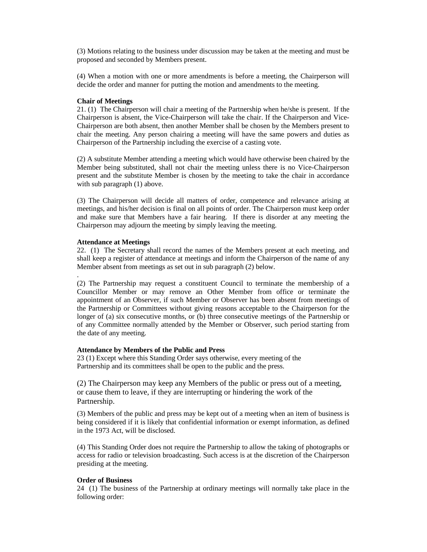(3) Motions relating to the business under discussion may be taken at the meeting and must be proposed and seconded by Members present.

(4) When a motion with one or more amendments is before a meeting, the Chairperson will decide the order and manner for putting the motion and amendments to the meeting.

#### **Chair of Meetings**

21. (1) The Chairperson will chair a meeting of the Partnership when he/she is present. If the Chairperson is absent, the Vice-Chairperson will take the chair. If the Chairperson and Vice-Chairperson are both absent, then another Member shall be chosen by the Members present to chair the meeting. Any person chairing a meeting will have the same powers and duties as Chairperson of the Partnership including the exercise of a casting vote.

(2) A substitute Member attending a meeting which would have otherwise been chaired by the Member being substituted, shall not chair the meeting unless there is no Vice-Chairperson present and the substitute Member is chosen by the meeting to take the chair in accordance with sub paragraph (1) above.

(3) The Chairperson will decide all matters of order, competence and relevance arising at meetings, and his/her decision is final on all points of order. The Chairperson must keep order and make sure that Members have a fair hearing. If there is disorder at any meeting the Chairperson may adjourn the meeting by simply leaving the meeting.

#### **Attendance at Meetings**

.

22. (1) The Secretary shall record the names of the Members present at each meeting, and shall keep a register of attendance at meetings and inform the Chairperson of the name of any Member absent from meetings as set out in sub paragraph (2) below.

(2) The Partnership may request a constituent Council to terminate the membership of a Councillor Member or may remove an Other Member from office or terminate the appointment of an Observer, if such Member or Observer has been absent from meetings of the Partnership or Committees without giving reasons acceptable to the Chairperson for the longer of (a) six consecutive months, or (b) three consecutive meetings of the Partnership or of any Committee normally attended by the Member or Observer, such period starting from the date of any meeting.

#### **Attendance by Members of the Public and Press**

23 (1) Except where this Standing Order says otherwise, every meeting of the Partnership and its committees shall be open to the public and the press.

(2) The Chairperson may keep any Members of the public or press out of a meeting, or cause them to leave, if they are interrupting or hindering the work of the Partnership.

(3) Members of the public and press may be kept out of a meeting when an item of business is being considered if it is likely that confidential information or exempt information, as defined in the 1973 Act, will be disclosed.

(4) This Standing Order does not require the Partnership to allow the taking of photographs or access for radio or television broadcasting. Such access is at the discretion of the Chairperson presiding at the meeting.

# **Order of Business**

24 (1) The business of the Partnership at ordinary meetings will normally take place in the following order: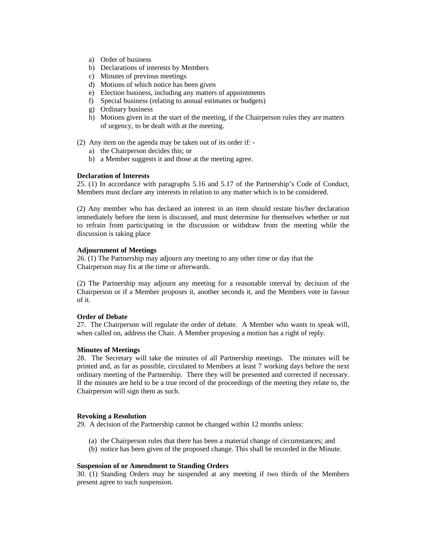- a) Order of business
- b) Declarations of interests by Members
- c) Minutes of previous meetings
- d) Motions of which notice has been given
- e) Election business, including any matters of appointments
- f) Special business (relating to annual estimates or budgets)
- g) Ordinary business
- h) Motions given in at the start of the meeting, if the Chairperson rules they are matters of urgency, to be dealt with at the meeting.
- (2) Any item on the agenda may be taken out of its order if:
	- a) the Chairperson decides this; or
	- b) a Member suggests it and those at the meeting agree.

#### **Declaration of Interests**

25. (1) In accordance with paragraphs 5.16 and 5.17 of the Partnership's Code of Conduct, Members must declare any interests in relation to any matter which is to be considered.

(2) Any member who has declared an interest in an item should restate his/her declaration immediately before the item is discussed, and must determine for themselves whether or not to refrain from participating in the discussion or withdraw from the meeting while the discussion is taking place

#### **Adjournment of Meetings**

26. (1) The Partnership may adjourn any meeting to any other time or day that the Chairperson may fix at the time or afterwards.

(2) The Partnership may adjourn any meeting for a reasonable interval by decision of the Chairperson or if a Member proposes it, another seconds it, and the Members vote in favour of it.

#### **Order of Debate**

27. The Chairperson will regulate the order of debate. A Member who wants to speak will, when called on, address the Chair. A Member proposing a motion has a right of reply.

#### **Minutes of Meetings**

28. The Secretary will take the minutes of all Partnership meetings. The minutes will be printed and, as far as possible, circulated to Members at least 7 working days before the next ordinary meeting of the Partnership. There they will be presented and corrected if necessary. If the minutes are held to be a true record of the proceedings of the meeting they relate to, the Chairperson will sign them as such.

#### **Revoking a Resolution**

29. A decision of the Partnership cannot be changed within 12 months unless:

- (a) the Chairperson rules that there has been a material change of circumstances; and
- (b) notice has been given of the proposed change. This shall be recorded in the Minute.

#### **Suspension of or Amendment to Standing Orders**

30. (1) Standing Orders may be suspended at any meeting if two thirds of the Members present agree to such suspension.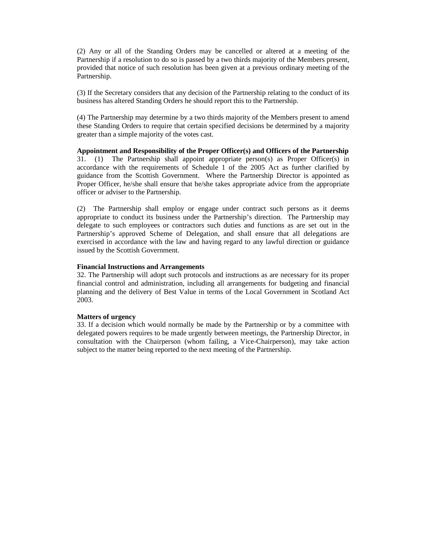(2) Any or all of the Standing Orders may be cancelled or altered at a meeting of the Partnership if a resolution to do so is passed by a two thirds majority of the Members present, provided that notice of such resolution has been given at a previous ordinary meeting of the Partnership.

(3) If the Secretary considers that any decision of the Partnership relating to the conduct of its business has altered Standing Orders he should report this to the Partnership.

(4) The Partnership may determine by a two thirds majority of the Members present to amend these Standing Orders to require that certain specified decisions be determined by a majority greater than a simple majority of the votes cast.

**Appointment and Responsibility of the Proper Officer(s) and Officers of the Partnership**  31. (1) The Partnership shall appoint appropriate person(s) as Proper Officer(s) in accordance with the requirements of Schedule 1 of the 2005 Act as further clarified by guidance from the Scottish Government. Where the Partnership Director is appointed as Proper Officer, he/she shall ensure that he/she takes appropriate advice from the appropriate officer or adviser to the Partnership.

(2) The Partnership shall employ or engage under contract such persons as it deems appropriate to conduct its business under the Partnership's direction. The Partnership may delegate to such employees or contractors such duties and functions as are set out in the Partnership's approved Scheme of Delegation, and shall ensure that all delegations are exercised in accordance with the law and having regard to any lawful direction or guidance issued by the Scottish Government.

#### **Financial Instructions and Arrangements**

32. The Partnership will adopt such protocols and instructions as are necessary for its proper financial control and administration, including all arrangements for budgeting and financial planning and the delivery of Best Value in terms of the Local Government in Scotland Act 2003.

#### **Matters of urgency**

33. If a decision which would normally be made by the Partnership or by a committee with delegated powers requires to be made urgently between meetings, the Partnership Director, in consultation with the Chairperson (whom failing, a Vice-Chairperson), may take action subject to the matter being reported to the next meeting of the Partnership.